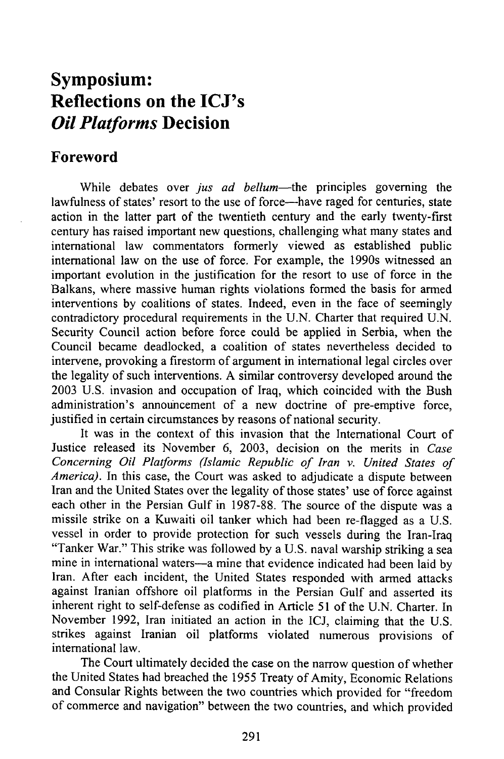## **Symposium: Reflections on the ICJ's** *Oil Platforms* **Decision**

## **Foreword**

While debates over *jus ad bellum*—the principles governing the lawfulness of states' resort to the use of force-have raged for centuries, state action in the latter part of the twentieth century and the early twenty-first century has raised important new questions, challenging what many states and international law commentators formerly viewed as established public international law on the use of force. For example, the 1990s witnessed an important evolution in the justification for the resort to use of force in the Balkans, where massive human rights violations formed the basis for armed interventions by coalitions of states. Indeed, even in the face of seemingly contradictory procedural requirements in the U.N. Charter that required U.N. Security Council action before force could be applied in Serbia, when the Council became deadlocked, a coalition of states nevertheless decided to intervene, provoking a firestorm of argument in international legal circles over the legality of such interventions. A similar controversy developed around the 2003 U.S. invasion and occupation of Iraq, which coincided with the Bush administration's announcement of a new doctrine of pre-emptive force, justified in certain circumstances by reasons of national security.

It was in the context of this invasion that the International Court of Justice released its November 6, 2003, decision on the merits in *Case Concerning Oil Platforms (Islamic Republic of Iran v. United States of America).* In this case, the Court was asked to adjudicate a dispute between Iran and the United States over the legality of those states' use of force against each other in the Persian Gulf in 1987-88. The source of the dispute was a missile strike on a Kuwaiti oil tanker which had been re-flagged as a U.S. vessel in order to provide protection for such vessels during the Iran-Iraq "Tanker War." This strike was followed by a U.S. naval warship striking a sea mine in international waters-a mine that evidence indicated had been laid by Iran. After each incident, the United States responded with armed attacks against Iranian offshore oil platforms in the Persian Gulf and asserted its inherent right to self-defense as codified in Article 51 of the U.N. Charter. In November 1992, Iran initiated an action in the ICJ, claiming that the U.S. strikes against Iranian oil platforms violated numerous provisions of international law.

The Court ultimately decided the case on the narrow question of whether the United States had breached the 1955 Treaty of Amity, Economic Relations and Consular Rights between the two countries which provided for "freedom of commerce and navigation" between the two countries, and which provided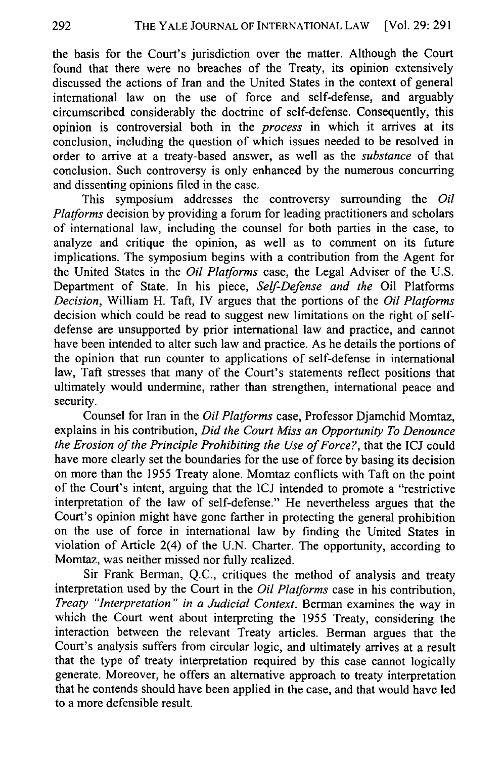the basis for the Court's jurisdiction over the matter. Although the Court found that there were no breaches of the Treaty, its opinion extensively discussed the actions of Iran and the United States in the context of general international law on the use of force and self-defense, and arguably circumscribed considerably the doctrine of self-defense. Consequently, this opinion is controversial both in the *process* in which it arrives at its conclusion, including the question of which issues needed to be resolved in order to arrive at a treaty-based answer, as well as the *substance* of that conclusion. Such controversy is only enhanced by the numerous concurring and dissenting opinions filed in the case.

This symposium addresses the controversy surrounding the *Oil Platforms* decision by providing a forum for leading practitioners and scholars of international law, including the counsel for both parties in the case, to analyze and critique the opinion, as well as to comment on its future implications. The symposium begins with a contribution from the Agent for the United States in the *Oil Platforms* case, the Legal Adviser of the U.S. Department of State. In his piece, *Self-Defense and the* Oil Platforms *Decision,* William H. Taft, IV argues that the portions of the *Oil Platforms* decision which could be read to suggest new limitations on the right of selfdefense are unsupported by prior international law and practice, and cannot have been intended to alter such law and practice. As he details the portions of the opinion that run counter to applications of self-defense in international law, Taft stresses that many of the Court's statements reflect positions that ultimately would undermine, rather than strengthen, international peace and security.

Counsel for Iran in the *Oil Platforms* case, Professor Djamchid Momtaz, explains in his contribution, *Did the Court Miss an Opportunity To Denounce the Erosion of the Principle Prohibiting the Use of Force?,* that the ICJ could have more clearly set the boundaries for the use of force by basing its decision on more than the 1955 Treaty alone. Momtaz conflicts with Taft on the point of the Court's intent, arguing that the ICJ intended to promote a "restrictive interpretation of the law of self-defense." He nevertheless argues that the Court's opinion might have gone farther in protecting the general prohibition on the use of force in international law by finding the United States in violation of Article 2(4) of the U.N. Charter. The opportunity, according to Momtaz, was neither missed nor fully realized.

Sir Frank Berman, Q.C., critiques the method of analysis and treaty interpretation used by the Court in the *Oil Platforms* case in his contribution, *Treaty "Interpretation" in a Judicial Context.* Berman examines the way in which the Court went about interpreting the 1955 Treaty, considering the interaction between the relevant Treaty articles. Berman argues that the Court's analysis suffers from circular logic, and ultimately arrives at a result that the type of treaty interpretation required by this case cannot logically generate. Moreover, he offers an alternative approach to treaty interpretation that he contends should have been applied in the case, and that would have led to a more defensible result.